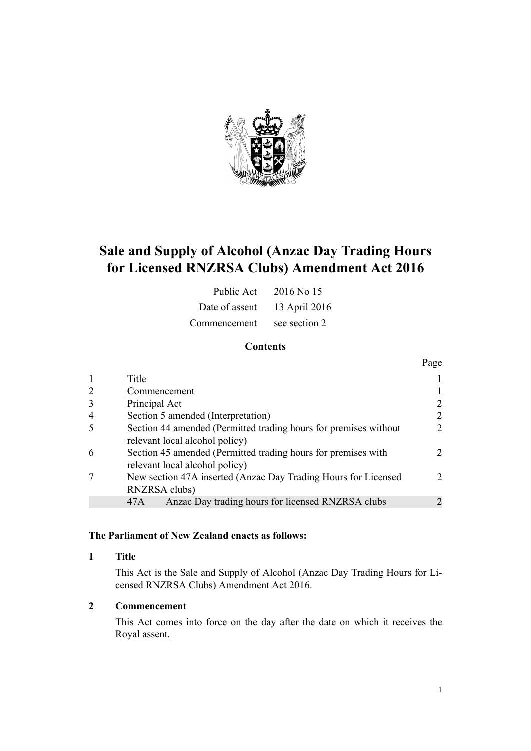

# **Sale and Supply of Alcohol (Anzac Day Trading Hours for Licensed RNZRSA Clubs) Amendment Act 2016**

| Public Act     | 2016 No 15    |
|----------------|---------------|
| Date of assent | 13 April 2016 |
| Commencement   | see section 2 |

## **Contents**

|                |                                                                                                    | Page          |
|----------------|----------------------------------------------------------------------------------------------------|---------------|
| $\mathbf{1}$   | Title                                                                                              |               |
| 2              | Commencement                                                                                       |               |
| 3              | Principal Act                                                                                      |               |
| $\overline{4}$ | Section 5 amended (Interpretation)                                                                 | $\mathcal{D}$ |
| -5             | Section 44 amended (Permitted trading hours for premises without<br>relevant local alcohol policy) | $\mathcal{D}$ |
| 6              | Section 45 amended (Permitted trading hours for premises with<br>relevant local alcohol policy)    | $2^{\circ}$   |
|                | New section 47A inserted (Anzac Day Trading Hours for Licensed<br>RNZRSA clubs)                    | $2^{\circ}$   |
|                | Anzac Day trading hours for licensed RNZRSA clubs<br>47A                                           |               |

#### **The Parliament of New Zealand enacts as follows:**

#### **1 Title**

This Act is the Sale and Supply of Alcohol (Anzac Day Trading Hours for Licensed RNZRSA Clubs) Amendment Act 2016.

## **2 Commencement**

This Act comes into force on the day after the date on which it receives the Royal assent.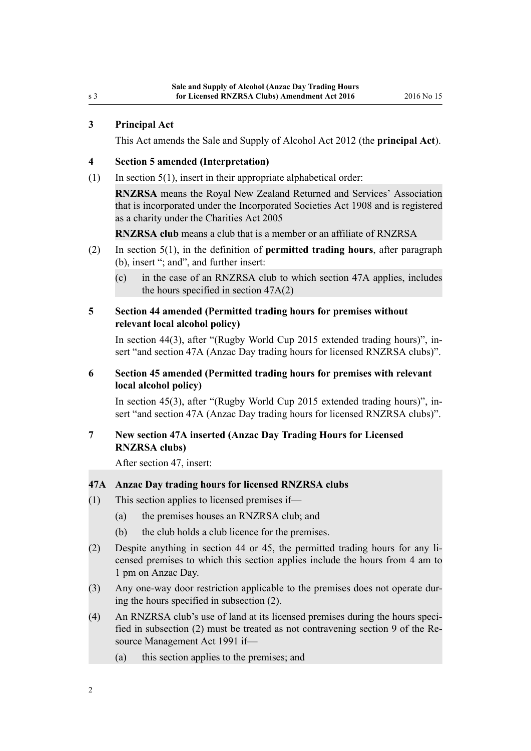#### <span id="page-1-0"></span>**3 Principal Act**

This Act amends the [Sale and Supply of Alcohol Act 2012](http://prd-lgnz-nlb.prd.pco.net.nz/pdflink.aspx?id=DLM3339302) (the **principal Act**).

#### **4 Section 5 amended (Interpretation)**

 $(1)$  In [section 5\(1\)](http://prd-lgnz-nlb.prd.pco.net.nz/pdflink.aspx?id=DLM3339341), insert in their appropriate alphabetical order:

**RNZRSA** means the Royal New Zealand Returned and Services' Association that is incorporated under the Incorporated Societies Act 1908 and is registered as a charity under the Charities Act 2005

**RNZRSA club** means a club that is a member or an affiliate of RNZRSA

- (2) In [section 5\(1\)](http://prd-lgnz-nlb.prd.pco.net.nz/pdflink.aspx?id=DLM3339341), in the definition of **permitted trading hours**, after paragraph (b), insert "; and", and further insert:
	- (c) in the case of an RNZRSA club to which section 47A applies, includes the hours specified in section 47A(2)

#### **5 Section 44 amended (Permitted trading hours for premises without relevant local alcohol policy)**

In [section 44\(3\),](http://prd-lgnz-nlb.prd.pco.net.nz/pdflink.aspx?id=DLM3339515) after "(Rugby World Cup 2015 extended trading hours)", insert "and section 47A (Anzac Day trading hours for licensed RNZRSA clubs)".

# **6 Section 45 amended (Permitted trading hours for premises with relevant local alcohol policy)**

In [section 45\(3\),](http://prd-lgnz-nlb.prd.pco.net.nz/pdflink.aspx?id=DLM3339516) after "(Rugby World Cup 2015 extended trading hours)", insert "and section 47A (Anzac Day trading hours for licensed RNZRSA clubs)".

# **7 New section 47A inserted (Anzac Day Trading Hours for Licensed RNZRSA clubs)**

After [section 47](http://prd-lgnz-nlb.prd.pco.net.nz/pdflink.aspx?id=DLM3339519), insert:

## **47A Anzac Day trading hours for licensed RNZRSA clubs**

- (1) This section applies to licensed premises if—
	- (a) the premises houses an RNZRSA club; and
	- (b) the club holds a club licence for the premises.
- (2) Despite anything in section 44 or 45, the permitted trading hours for any licensed premises to which this section applies include the hours from 4 am to 1 pm on Anzac Day.
- (3) Any one-way door restriction applicable to the premises does not operate during the hours specified in subsection (2).
- (4) An RNZRSA club's use of land at its licensed premises during the hours specified in subsection (2) must be treated as not contravening section 9 of the Resource Management Act 1991 if—
	- (a) this section applies to the premises; and